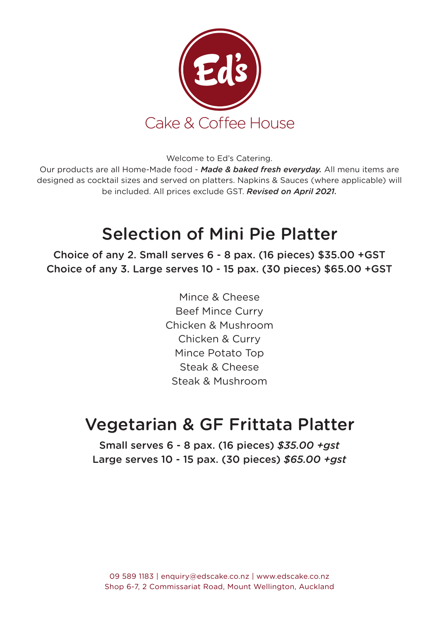

Welcome to Ed's Catering.

Our products are all Home-Made food - *Made & baked fresh everyday.* All menu items are designed as cocktail sizes and served on platters. Napkins & Sauces (where applicable) will be included. All prices exclude GST. *Revised on April 2021.*

### Selection of Mini Pie Platter

Choice of any 2. Small serves 6 - 8 pax. (16 pieces) \$35.00 +GST Choice of any 3. Large serves 10 - 15 pax. (30 pieces) \$65.00 +GST

> Mince & Cheese Beef Mince Curry Chicken & Mushroom Chicken & Curry Mince Potato Top Steak & Cheese Steak & Mushroom

### Vegetarian & GF Frittata Platter

Small serves 6 - 8 pax. (16 pieces) *\$35.00 +gst* Large serves 10 - 15 pax. (30 pieces) *\$65.00 +gst*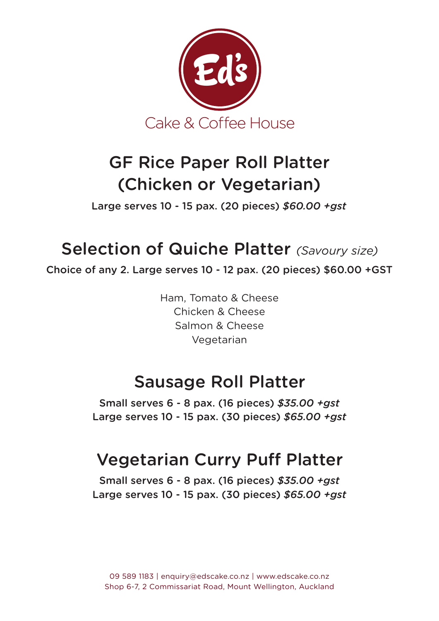

## GF Rice Paper Roll Platter (Chicken or Vegetarian)

Large serves 10 - 15 pax. (20 pieces) *\$60.00 +gst*

## Selection of Quiche Platter *(Savoury size)*

Choice of any 2. Large serves 10 - 12 pax. (20 pieces) \$60.00 +GST

Ham, Tomato & Cheese Chicken & Cheese Salmon & Cheese Vegetarian

### Sausage Roll Platter

Small serves 6 - 8 pax. (16 pieces) *\$35.00 +gst* Large serves 10 - 15 pax. (30 pieces) *\$65.00 +gst*

## Vegetarian Curry Puff Platter

Small serves 6 - 8 pax. (16 pieces) *\$35.00 +gst* Large serves 10 - 15 pax. (30 pieces) *\$65.00 +gst*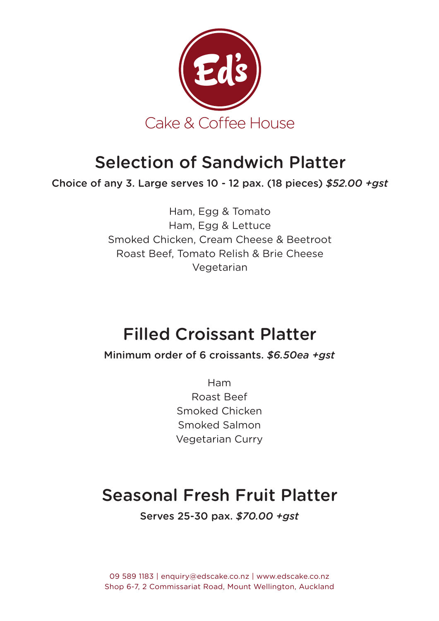

### Selection of Sandwich Platter

Choice of any 3. Large serves 10 - 12 pax. (18 pieces) *\$52.00 +gst*

Ham, Egg & Tomato Ham, Egg & Lettuce Smoked Chicken, Cream Cheese & Beetroot Roast Beef, Tomato Relish & Brie Cheese Vegetarian

## Filled Croissant Platter

Minimum order of 6 croissants. *\$6.50ea +gst*

Ham Roast Beef Smoked Chicken Smoked Salmon Vegetarian Curry

## Seasonal Fresh Fruit Platter

Serves 25-30 pax. *\$70.00 +gst*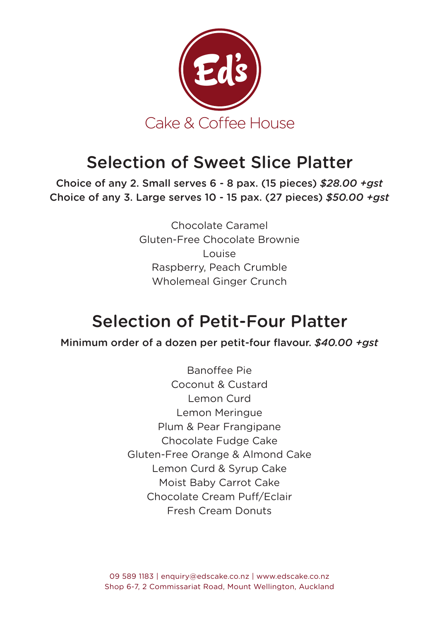

### Selection of Sweet Slice Platter

Choice of any 2. Small serves 6 - 8 pax. (15 pieces) *\$28.00 +gst* Choice of any 3. Large serves 10 - 15 pax. (27 pieces) *\$50.00 +gst*

> Chocolate Caramel Gluten-Free Chocolate Brownie Louise Raspberry, Peach Crumble Wholemeal Ginger Crunch

## Selection of Petit-Four Platter

Minimum order of a dozen per petit-four flavour. *\$40.00 +gst*

Banoffee Pie Coconut & Custard Lemon Curd Lemon Meringue Plum & Pear Frangipane Chocolate Fudge Cake Gluten-Free Orange & Almond Cake Lemon Curd & Syrup Cake Moist Baby Carrot Cake Chocolate Cream Puff/Eclair Fresh Cream Donuts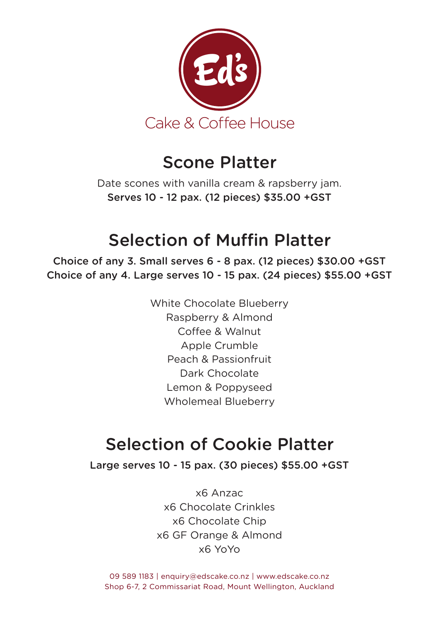

#### Scone Platter

Date scones with vanilla cream & rapsberry jam. Serves 10 - 12 pax. (12 pieces) \$35.00 +GST

## Selection of Muffin Platter

Choice of any 3. Small serves 6 - 8 pax. (12 pieces) \$30.00 +GST Choice of any 4. Large serves 10 - 15 pax. (24 pieces) \$55.00 +GST

> White Chocolate Blueberry Raspberry & Almond Coffee & Walnut Apple Crumble Peach & Passionfruit Dark Chocolate Lemon & Poppyseed Wholemeal Blueberry

## Selection of Cookie Platter

Large serves 10 - 15 pax. (30 pieces) \$55.00 +GST

x6 Anzac x6 Chocolate Crinkles x6 Chocolate Chip x6 GF Orange & Almond x6 YoYo

09 589 1183 | enquiry@edscake.co.nz | www.edscake.co.nz Shop 6-7, 2 Commissariat Road, Mount Wellington, Auckland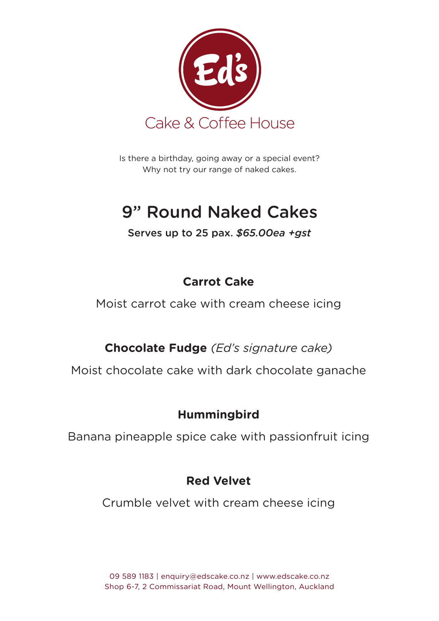

Is there a birthday, going away or a special event? Why not try our range of naked cakes.

# 9" Round Naked Cakes

#### Serves up to 25 pax. *\$65.00ea +gst*

#### **Carrot Cake**

Moist carrot cake with cream cheese icing

**Chocolate Fudge** *(Ed's signature cake)*

Moist chocolate cake with dark chocolate ganache

#### **Hummingbird**

Banana pineapple spice cake with passionfruit icing

#### **Red Velvet**

Crumble velvet with cream cheese icing